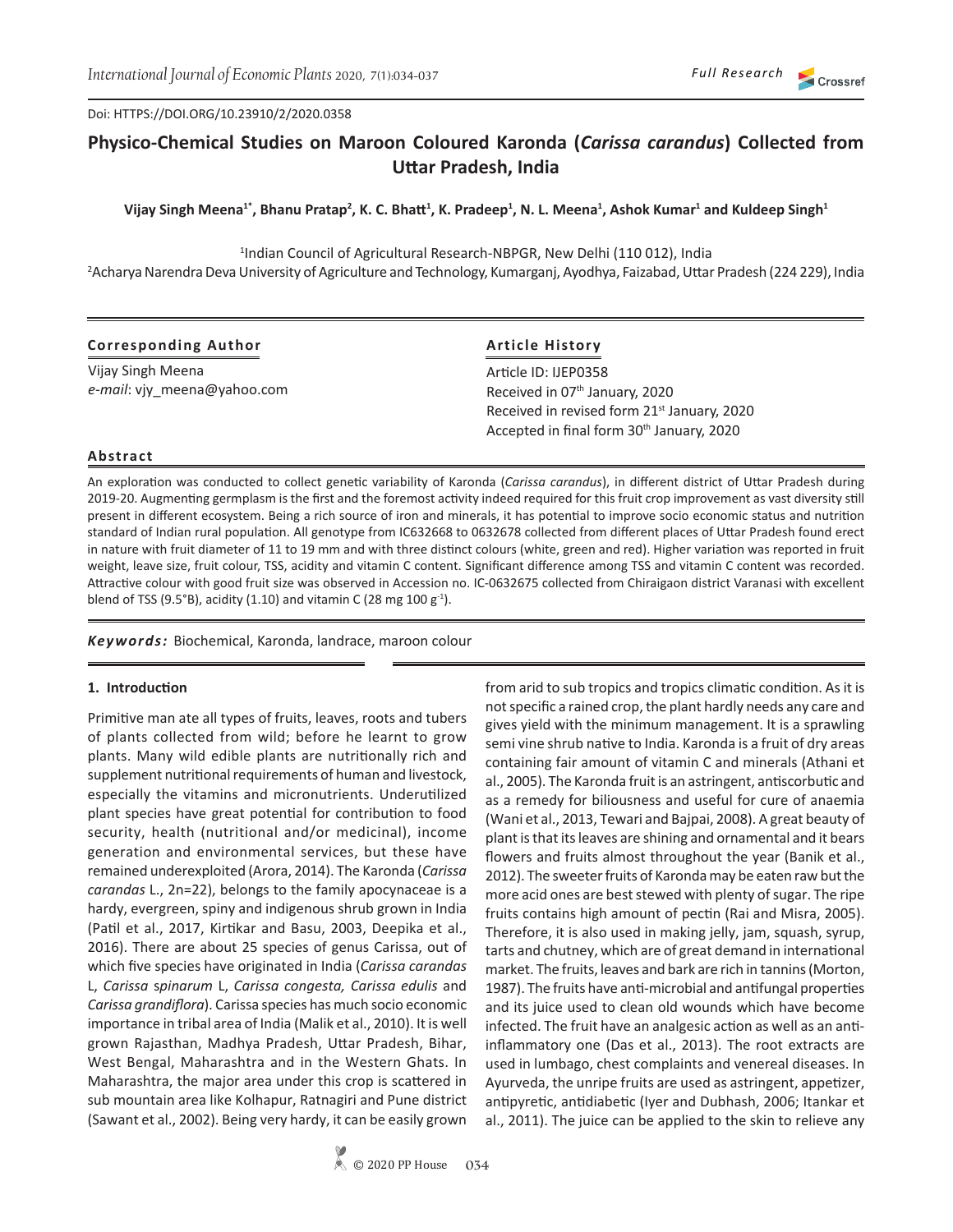#### Doi: HTTPS://DOI.ORG/10.23910/2/2020.0358

# **Physico-Chemical Studies on Maroon Coloured Karonda (***Carissa carandus***) Collected from Uttar Pradesh, India**

Vijay Singh Meena<sup>1</sup>\*, Bhanu Pratap<sup>2</sup>, K. C. Bhatt<sup>1</sup>, K. Pradeep<sup>1</sup>, N. L. Meena<sup>1</sup>, Ashok Kumar<sup>1</sup> and Kuldeep Singh<sup>1</sup>

<sup>1</sup>Indian Council of Agricultural Research-NBPGR, New Delhi (110 012), India 2 Acharya Narendra Deva University of Agriculture and Technology, Kumarganj, Ayodhya, Faizabad, Uttar Pradesh (224 229), India

## **Corresponding Author**

Vijay Singh Meena *e-mail*: vjy\_meena@yahoo.com

## **Article History**

Article ID: IJEP0358 Received in 07<sup>th</sup> January, 2020 Received in revised form 21<sup>st</sup> January, 2020 Accepted in final form 30<sup>th</sup> January, 2020

#### **Abstract**

An exploration was conducted to collect genetic variability of Karonda (*Carissa carandus*), in different district of Uttar Pradesh during 2019-20. Augmenting germplasm is the first and the foremost activity indeed required for this fruit crop improvement as vast diversity still present in different ecosystem. Being a rich source of iron and minerals, it has potential to improve socio economic status and nutrition standard of Indian rural population. All genotype from IC632668 to 0632678 collected from different places of Uttar Pradesh found erect in nature with fruit diameter of 11 to 19 mm and with three distinct colours (white, green and red). Higher variation was reported in fruit weight, leave size, fruit colour, TSS, acidity and vitamin C content. Significant difference among TSS and vitamin C content was recorded. Attractive colour with good fruit size was observed in Accession no. IC-0632675 collected from Chiraigaon district Varanasi with excellent blend of TSS (9.5°B), acidity (1.10) and vitamin C (28 mg 100  $g^{-1}$ ).

*Keywords:* Biochemical, Karonda, landrace, maroon colour

#### **1. Introduction**

Primitive man ate all types of fruits, leaves, roots and tubers of plants collected from wild; before he learnt to grow plants. Many wild edible plants are nutritionally rich and supplement nutritional requirements of human and livestock, especially the vitamins and micronutrients. Underutilized plant species have great potential for contribution to food security, health (nutritional and/or medicinal), income generation and environmental services, but these have remained underexploited (Arora, 2014). The Karonda (*Carissa carandas* L., 2n=22), belongs to the family apocynaceae is a hardy, evergreen, spiny and indigenous shrub grown in India (Patil et al., 2017, Kirtikar and Basu, 2003, Deepika et al., 2016). There are about 25 species of genus Carissa, out of which five species have originated in India (*Carissa carandas* L, *Carissa* s*pinarum* L, *Carissa congesta, Carissa edulis* and *Carissa grandiflora*). Carissa species has much socio economic importance in tribal area of India (Malik et al., 2010). It is well grown Rajasthan, Madhya Pradesh, Uttar Pradesh, Bihar, West Bengal, Maharashtra and in the Western Ghats. In Maharashtra, the major area under this crop is scattered in sub mountain area like Kolhapur, Ratnagiri and Pune district (Sawant et al., 2002). Being very hardy, it can be easily grown

from arid to sub tropics and tropics climatic condition. As it is not specific a rained crop, the plant hardly needs any care and gives yield with the minimum management. It is a sprawling semi vine shrub native to India. Karonda is a fruit of dry areas containing fair amount of vitamin C and minerals (Athani et al., 2005). The Karonda fruit is an astringent, antiscorbutic and as a remedy for biliousness and useful for cure of anaemia (Wani et al., 2013, Tewari and Bajpai, 2008). A great beauty of plant is that its leaves are shining and ornamental and it bears flowers and fruits almost throughout the year (Banik et al., 2012). The sweeter fruits of Karonda may be eaten raw but the more acid ones are best stewed with plenty of sugar. The ripe fruits contains high amount of pectin (Rai and Misra, 2005). Therefore, it is also used in making jelly, jam, squash, syrup, tarts and chutney, which are of great demand in international market. The fruits, leaves and bark are rich in tannins (Morton, 1987). The fruits have anti-microbial and antifungal properties and its juice used to clean old wounds which have become infected. The fruit have an analgesic action as well as an antiinflammatory one (Das et al., 2013). The root extracts are used in lumbago, chest complaints and venereal diseases. In Ayurveda, the unripe fruits are used as astringent, appetizer, antipyretic, antidiabetic (Iyer and Dubhash, 2006; Itankar et al., 2011). The juice can be applied to the skin to relieve any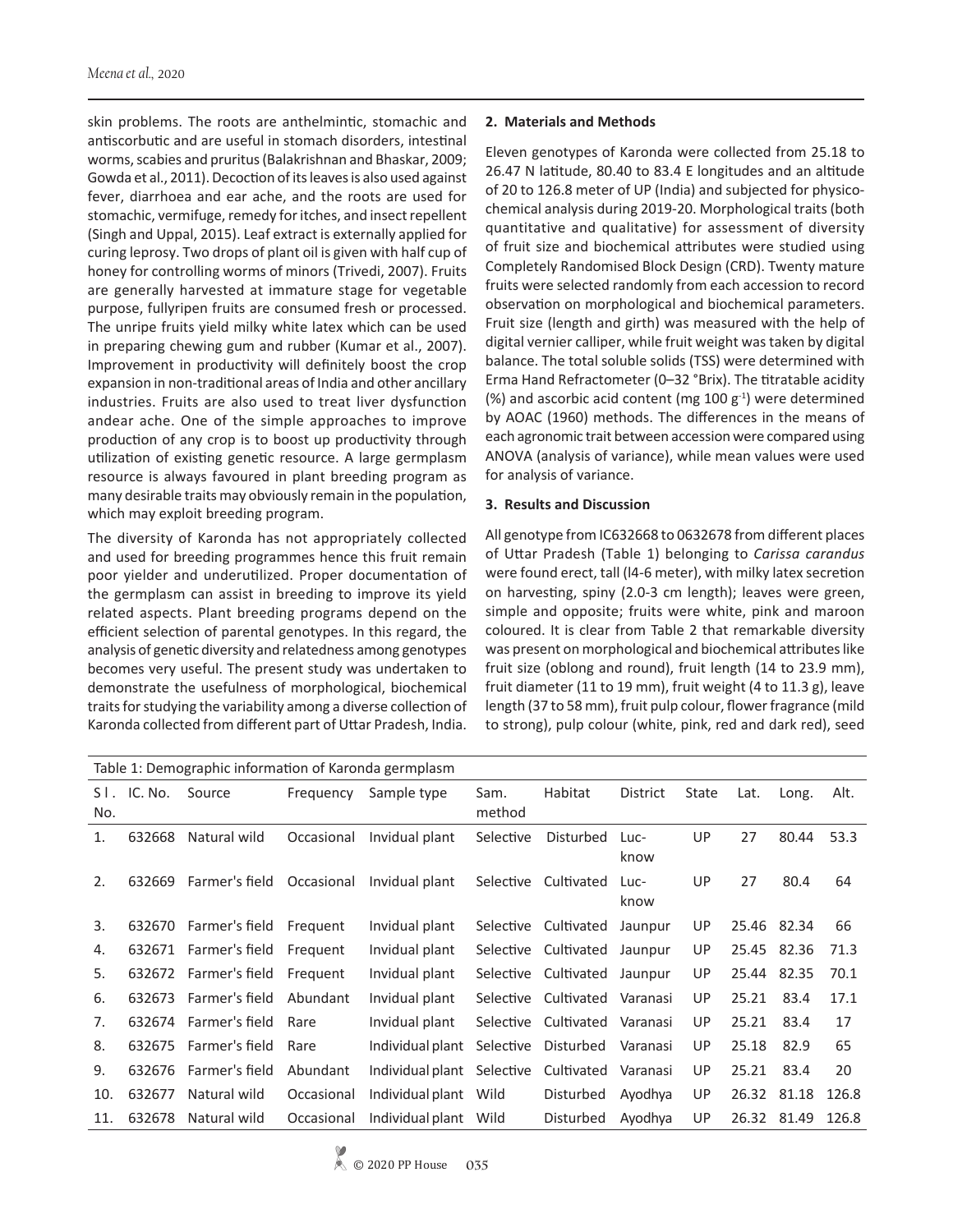skin problems. The roots are anthelmintic, stomachic and antiscorbutic and are useful in stomach disorders, intestinal worms, scabies and pruritus (Balakrishnan and Bhaskar, 2009; Gowda et al., 2011). Decoction of its leaves is also used against fever, diarrhoea and ear ache, and the roots are used for stomachic, vermifuge, remedy for itches, and insect repellent (Singh and Uppal, 2015). Leaf extract is externally applied for curing leprosy. Two drops of plant oil is given with half cup of honey for controlling worms of minors (Trivedi, 2007). Fruits are generally harvested at immature stage for vegetable purpose, fullyripen fruits are consumed fresh or processed. The unripe fruits yield milky white latex which can be used in preparing chewing gum and rubber (Kumar et al., 2007). Improvement in productivity will definitely boost the crop expansion in non-traditional areas of India and other ancillary industries. Fruits are also used to treat liver dysfunction andear ache. One of the simple approaches to improve production of any crop is to boost up productivity through utilization of existing genetic resource. A large germplasm resource is always favoured in plant breeding program as many desirable traits may obviously remain in the population, which may exploit breeding program.

The diversity of Karonda has not appropriately collected and used for breeding programmes hence this fruit remain poor yielder and underutilized. Proper documentation of the germplasm can assist in breeding to improve its yield related aspects. Plant breeding programs depend on the efficient selection of parental genotypes. In this regard, the analysis of genetic diversity and relatedness among genotypes becomes very useful. The present study was undertaken to demonstrate the usefulness of morphological, biochemical traits for studying the variability among a diverse collection of Karonda collected from different part of Uttar Pradesh, India.

## **2. Materials and Methods**

Eleven genotypes of Karonda were collected from 25.18 to 26.47 N latitude, 80.40 to 83.4 E longitudes and an altitude of 20 to 126.8 meter of UP (India) and subjected for physicochemical analysis during 2019-20. Morphological traits (both quantitative and qualitative) for assessment of diversity of fruit size and biochemical attributes were studied using Completely Randomised Block Design (CRD). Twenty mature fruits were selected randomly from each accession to record observation on morphological and biochemical parameters. Fruit size (length and girth) was measured with the help of digital vernier calliper, while fruit weight was taken by digital balance. The total soluble solids (TSS) were determined with Erma Hand Refractometer (0–32 °Brix). The titratable acidity (%) and ascorbic acid content (mg  $100 \text{ g}^{-1}$ ) were determined by AOAC (1960) methods. The differences in the means of each agronomic trait between accession were compared using ANOVA (analysis of variance), while mean values were used for analysis of variance.

## **3. Results and Discussion**

All genotype from IC632668 to 0632678 from different places of Uttar Pradesh (Table 1) belonging to *Carissa carandus*  were found erect, tall (l4-6 meter), with milky latex secretion on harvesting, spiny (2.0-3 cm length); leaves were green, simple and opposite; fruits were white, pink and maroon coloured. It is clear from Table 2 that remarkable diversity was present on morphological and biochemical attributes like fruit size (oblong and round), fruit length (14 to 23.9 mm), fruit diameter (11 to 19 mm), fruit weight (4 to 11.3 g), leave length (37 to 58 mm), fruit pulp colour, flower fragrance (mild to strong), pulp colour (white, pink, red and dark red), seed

| Table 1: Demographic information of Karonda germplasm |         |                       |            |                  |           |                      |          |       |             |       |       |  |
|-------------------------------------------------------|---------|-----------------------|------------|------------------|-----------|----------------------|----------|-------|-------------|-------|-------|--|
| SI.                                                   | IC. No. | Source                | Frequency  | Sample type      | Sam.      | Habitat              | District | State | Lat.        | Long. | Alt.  |  |
| No.                                                   |         |                       |            |                  | method    |                      |          |       |             |       |       |  |
| 1.                                                    | 632668  | Natural wild          | Occasional | Invidual plant   | Selective | Disturbed            | Luc-     | UP    | 27          | 80.44 | 53.3  |  |
|                                                       |         |                       |            |                  |           |                      | know     |       |             |       |       |  |
| 2.                                                    | 632669  | Farmer's field        | Occasional | Invidual plant   | Selective | Cultivated           | Luc-     | UP    | 27          | 80.4  | 64    |  |
|                                                       |         |                       |            |                  |           |                      | know     |       |             |       |       |  |
| 3.                                                    | 632670  | Farmer's field        | Frequent   | Invidual plant   |           | Selective Cultivated | Jaunpur  | UP.   | 25.46 82.34 |       | 66    |  |
| 4.                                                    | 632671  | Farmer's field        | Frequent   | Invidual plant   |           | Selective Cultivated | Jaunpur  | UP    | 25.45 82.36 |       | 71.3  |  |
| 5.                                                    |         | 632672 Farmer's field | Frequent   | Invidual plant   |           | Selective Cultivated | Jaunpur  | UP    | 25.44 82.35 |       | 70.1  |  |
| 6.                                                    | 632673  | Farmer's field        | Abundant   | Invidual plant   | Selective | Cultivated           | Varanasi | UP    | 25.21       | 83.4  | 17.1  |  |
| 7.                                                    | 632674  | Farmer's field        | Rare       | Invidual plant   | Selective | Cultivated           | Varanasi | UP    | 25.21       | 83.4  | 17    |  |
| 8.                                                    | 632675  | Farmer's field        | Rare       | Individual plant | Selective | Disturbed            | Varanasi | UP    | 25.18       | 82.9  | 65    |  |
| 9.                                                    | 632676  | Farmer's field        | Abundant   | Individual plant | Selective | Cultivated           | Varanasi | UP    | 25.21       | 83.4  | 20    |  |
| 10.                                                   | 632677  | Natural wild          | Occasional | Individual plant | Wild      | Disturbed            | Ayodhya  | UP    | 26.32 81.18 |       | 126.8 |  |
| 11.                                                   | 632678  | Natural wild          | Occasional | Individual plant | Wild      | Disturbed            | Ayodhya  | UP    | 26.32       | 81.49 | 126.8 |  |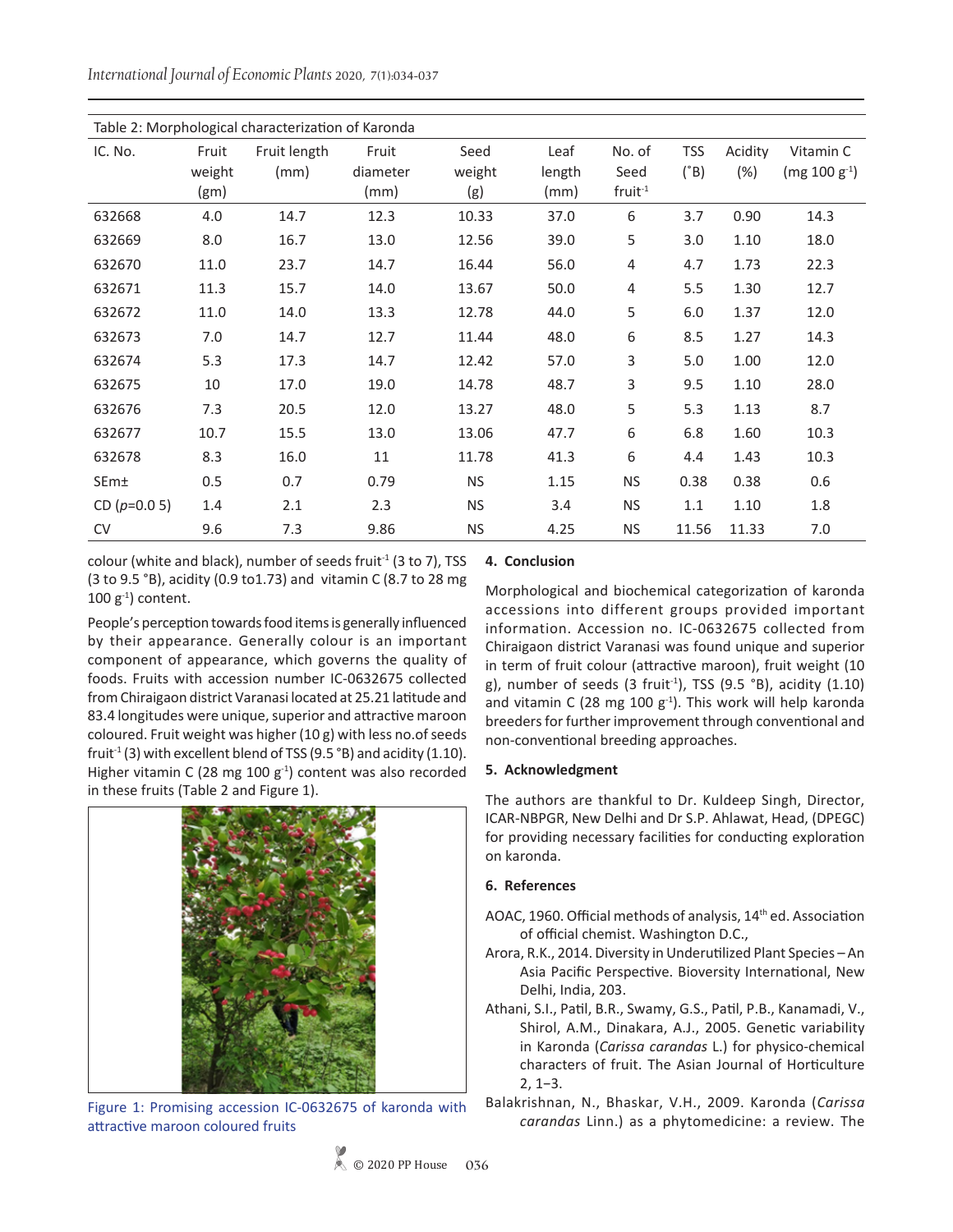*International Journal of Economic Plants* 2020, 7(1):034-037

| Table 2: Morphological characterization of Karonda |        |              |          |           |        |           |               |         |                   |  |
|----------------------------------------------------|--------|--------------|----------|-----------|--------|-----------|---------------|---------|-------------------|--|
| IC. No.                                            | Fruit  | Fruit length | Fruit    | Seed      | Leaf   | No. of    | <b>TSS</b>    | Acidity | Vitamin C         |  |
|                                                    | weight | (mm)         | diameter | weight    | length | Seed      | $(^{\circ}B)$ | (%)     | $(mg 100 g^{-1})$ |  |
|                                                    | (gm)   |              | (mm)     | (g)       | (mm)   | $fruit-1$ |               |         |                   |  |
| 632668                                             | 4.0    | 14.7         | 12.3     | 10.33     | 37.0   | 6         | 3.7           | 0.90    | 14.3              |  |
| 632669                                             | 8.0    | 16.7         | 13.0     | 12.56     | 39.0   | 5         | 3.0           | 1.10    | 18.0              |  |
| 632670                                             | 11.0   | 23.7         | 14.7     | 16.44     | 56.0   | 4         | 4.7           | 1.73    | 22.3              |  |
| 632671                                             | 11.3   | 15.7         | 14.0     | 13.67     | 50.0   | 4         | 5.5           | 1.30    | 12.7              |  |
| 632672                                             | 11.0   | 14.0         | 13.3     | 12.78     | 44.0   | 5         | 6.0           | 1.37    | 12.0              |  |
| 632673                                             | 7.0    | 14.7         | 12.7     | 11.44     | 48.0   | 6         | 8.5           | 1.27    | 14.3              |  |
| 632674                                             | 5.3    | 17.3         | 14.7     | 12.42     | 57.0   | 3         | 5.0           | 1.00    | 12.0              |  |
| 632675                                             | 10     | 17.0         | 19.0     | 14.78     | 48.7   | 3         | 9.5           | 1.10    | 28.0              |  |
| 632676                                             | 7.3    | 20.5         | 12.0     | 13.27     | 48.0   | 5         | 5.3           | 1.13    | 8.7               |  |
| 632677                                             | 10.7   | 15.5         | 13.0     | 13.06     | 47.7   | 6         | 6.8           | 1.60    | 10.3              |  |
| 632678                                             | 8.3    | 16.0         | 11       | 11.78     | 41.3   | 6         | 4.4           | 1.43    | 10.3              |  |
| SEm±                                               | 0.5    | 0.7          | 0.79     | <b>NS</b> | 1.15   | <b>NS</b> | 0.38          | 0.38    | 0.6               |  |
| CD $(p=0.05)$                                      | 1.4    | 2.1          | 2.3      | <b>NS</b> | 3.4    | <b>NS</b> | 1.1           | 1.10    | 1.8               |  |
| <b>CV</b>                                          | 9.6    | 7.3          | 9.86     | <b>NS</b> | 4.25   | <b>NS</b> | 11.56         | 11.33   | 7.0               |  |

colour (white and black), number of seeds fruit<sup>-1</sup> (3 to 7), TSS (3 to 9.5 °B), acidity (0.9 to1.73) and vitamin C (8.7 to 28 mg  $100 g<sup>-1</sup>$ ) content.

People's perception towards food items is generally influenced by their appearance. Generally colour is an important component of appearance, which governs the quality of foods. Fruits with accession number IC-0632675 collected from Chiraigaon district Varanasi located at 25.21 latitude and 83.4 longitudes were unique, superior and attractive maroon coloured. Fruit weight was higher (10 g) with less no.of seeds fruit<sup>-1</sup> (3) with excellent blend of TSS (9.5 °B) and acidity (1.10). Higher vitamin C (28 mg 100  $g^{-1}$ ) content was also recorded in these fruits (Table 2 and Figure 1).



Figure 1: Promising accession IC-0632675 of karonda with attractive maroon coloured fruits

# **4. Conclusion**

Morphological and biochemical categorization of karonda accessions into different groups provided important information. Accession no. IC-0632675 collected from Chiraigaon district Varanasi was found unique and superior in term of fruit colour (attractive maroon), fruit weight (10 g), number of seeds (3 fruit<sup>-1</sup>), TSS (9.5 °B), acidity (1.10) and vitamin C (28 mg 100  $g^{-1}$ ). This work will help karonda breeders for further improvement through conventional and non-conventional breeding approaches.

# **5. Acknowledgment**

The authors are thankful to Dr. Kuldeep Singh, Director, ICAR-NBPGR, New Delhi and Dr S.P. Ahlawat, Head, (DPEGC) for providing necessary facilities for conducting exploration on karonda.

# **6. References**

- AOAC, 1960. Official methods of analysis, 14<sup>th</sup> ed. Association of official chemist. Washington D.C.,
- Arora, R.K., 2014. Diversity in Underutilized Plant Species An Asia Pacific Perspective. Bioversity International, New Delhi, India, 203.
- Athani, S.I., Patil, B.R., Swamy, G.S., Patil, P.B., Kanamadi, V., Shirol, A.M., Dinakara, A.J., 2005. Genetic variability in Karonda (*Carissa carandas* L.) for physico-chemical characters of fruit. The Asian Journal of Horticulture 2, 1−3.
- Balakrishnan, N., Bhaskar, V.H., 2009. Karonda (*Carissa carandas* Linn.) as a phytomedicine: a review. The